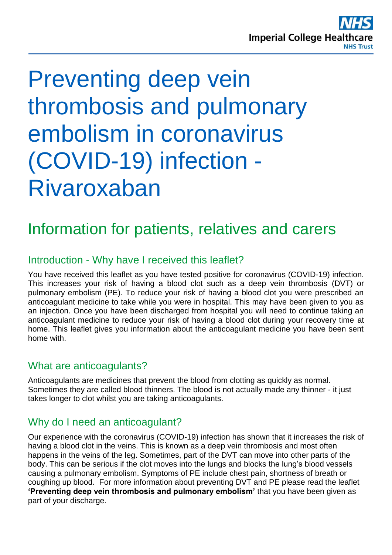

# Preventing deep vein thrombosis and pulmonary embolism in coronavirus (COVID-19) infection - Rivaroxaban

# Information for patients, relatives and carers

#### Introduction - Why have I received this leaflet?

You have received this leaflet as you have tested positive for coronavirus (COVID-19) infection. This increases your risk of having a blood clot such as a deep vein thrombosis (DVT) or pulmonary embolism (PE). To reduce your risk of having a blood clot you were prescribed an anticoagulant medicine to take while you were in hospital. This may have been given to you as an injection. Once you have been discharged from hospital you will need to continue taking an anticoagulant medicine to reduce your risk of having a blood clot during your recovery time at home. This leaflet gives you information about the anticoagulant medicine you have been sent home with.

#### What are anticoagulants?

Anticoagulants are medicines that prevent the blood from clotting as quickly as normal. Sometimes they are called blood thinners. The blood is not actually made any thinner - it just takes longer to clot whilst you are taking anticoagulants.

#### Why do I need an anticoagulant?

Our experience with the coronavirus (COVID-19) infection has shown that it increases the risk of having a blood clot in the veins. This is known as a deep vein thrombosis and most often happens in the veins of the leg. Sometimes, part of the DVT can move into other parts of the body. This can be serious if the clot moves into the lungs and blocks the lung's blood vessels causing a pulmonary embolism. Symptoms of PE include chest pain, shortness of breath or coughing up blood. For more information about preventing DVT and PE please read the leaflet **'Preventing deep vein thrombosis and pulmonary embolism'** that you have been given as part of your discharge.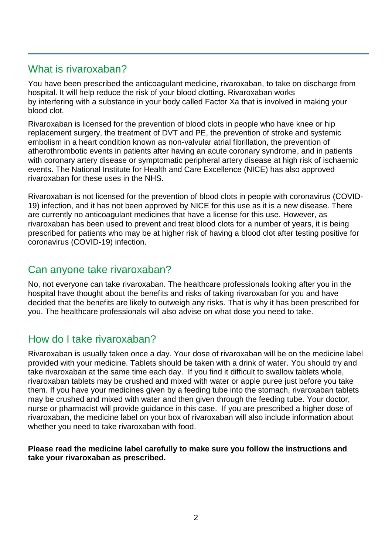#### What is rivaroxaban?

You have been prescribed the anticoagulant medicine, rivaroxaban, to take on discharge from hospital. It will help reduce the risk of your blood clotting**.** Rivaroxaban works by interfering with a substance in your body called Factor Xa that is involved in making your blood clot.

Rivaroxaban is licensed for the prevention of blood clots in people who have knee or hip replacement surgery, the treatment of DVT and PE, the prevention of stroke and systemic embolism in a heart condition known as non-valvular atrial fibrillation, the prevention of atherothrombotic events in patients after having an acute coronary syndrome, and in patients with coronary artery disease or symptomatic peripheral artery disease at high risk of ischaemic events. The National Institute for Health and Care Excellence (NICE) has also approved rivaroxaban for these uses in the NHS.

Rivaroxaban is not licensed for the prevention of blood clots in people with coronavirus (COVID-19) infection, and it has not been approved by NICE for this use as it is a new disease. There are currently no anticoagulant medicines that have a license for this use. However, as rivaroxaban has been used to prevent and treat blood clots for a number of years, it is being prescribed for patients who may be at higher risk of having a blood clot after testing positive for coronavirus (COVID-19) infection.

#### Can anyone take rivaroxaban?

No, not everyone can take rivaroxaban. The healthcare professionals looking after you in the hospital have thought about the benefits and risks of taking rivaroxaban for you and have decided that the benefits are likely to outweigh any risks. That is why it has been prescribed for you. The healthcare professionals will also advise on what dose you need to take.

## How do I take rivaroxaban?

Rivaroxaban is usually taken once a day. Your dose of rivaroxaban will be on the medicine label provided with your medicine. Tablets should be taken with a drink of water. You should try and take rivaroxaban at the same time each day. If you find it difficult to swallow tablets whole, rivaroxaban tablets may be crushed and mixed with water or apple puree just before you take them. If you have your medicines given by a feeding tube into the stomach, rivaroxaban tablets may be crushed and mixed with water and then given through the feeding tube. Your doctor, nurse or pharmacist will provide guidance in this case. If you are prescribed a higher dose of rivaroxaban, the medicine label on your box of rivaroxaban will also include information about whether you need to take rivaroxaban with food.

#### **Please read the medicine label carefully to make sure you follow the instructions and take your rivaroxaban as prescribed.**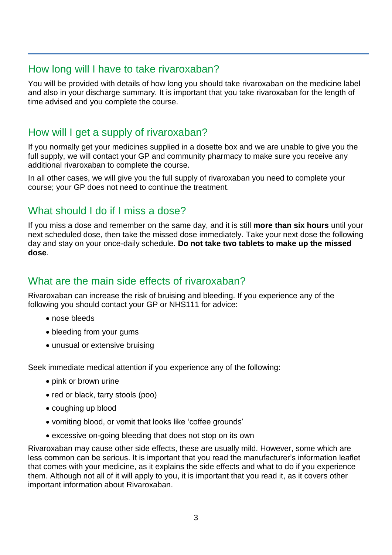#### How long will I have to take rivaroxaban?

You will be provided with details of how long you should take rivaroxaban on the medicine label and also in your discharge summary. It is important that you take rivaroxaban for the length of time advised and you complete the course.

#### How will I get a supply of rivaroxaban?

If you normally get your medicines supplied in a dosette box and we are unable to give you the full supply, we will contact your GP and community pharmacy to make sure you receive any additional rivaroxaban to complete the course.

In all other cases, we will give you the full supply of rivaroxaban you need to complete your course; your GP does not need to continue the treatment.

#### What should I do if I miss a dose?

If you miss a dose and remember on the same day, and it is still **more than six hours** until your next scheduled dose, then take the missed dose immediately. Take your next dose the following day and stay on your once-daily schedule. **Do not take two tablets to make up the missed dose**.

#### What are the main side effects of rivaroxaban?

Rivaroxaban can increase the risk of bruising and bleeding. If you experience any of the following you should contact your GP or NHS111 for advice:

- nose bleeds
- bleeding from your gums
- unusual or extensive bruising

Seek immediate medical attention if you experience any of the following:

- pink or brown urine
- red or black, tarry stools (poo)
- coughing up blood
- vomiting blood, or vomit that looks like 'coffee grounds'
- excessive on-going bleeding that does not stop on its own

Rivaroxaban may cause other side effects, these are usually mild. However, some which are less common can be serious. It is important that you read the manufacturer's information leaflet that comes with your medicine, as it explains the side effects and what to do if you experience them. Although not all of it will apply to you, it is important that you read it, as it covers other important information about Rivaroxaban.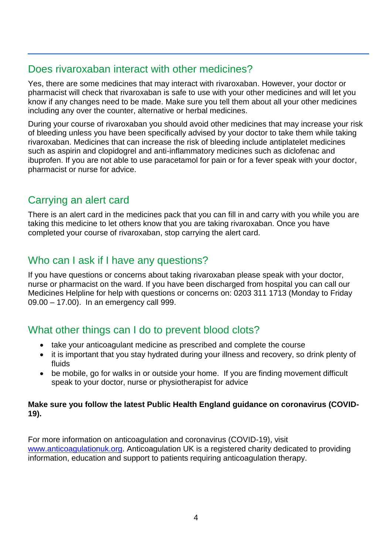#### Does rivaroxaban interact with other medicines?

Yes, there are some medicines that may interact with rivaroxaban. However, your doctor or pharmacist will check that rivaroxaban is safe to use with your other medicines and will let you know if any changes need to be made. Make sure you tell them about all your other medicines including any over the counter, alternative or herbal medicines.

During your course of rivaroxaban you should avoid other medicines that may increase your risk of bleeding unless you have been specifically advised by your doctor to take them while taking rivaroxaban. Medicines that can increase the risk of bleeding include antiplatelet medicines such as aspirin and clopidogrel and anti-inflammatory medicines such as diclofenac and ibuprofen. If you are not able to use paracetamol for pain or for a fever speak with your doctor, pharmacist or nurse for advice.

## Carrying an alert card

There is an alert card in the medicines pack that you can fill in and carry with you while you are taking this medicine to let others know that you are taking rivaroxaban. Once you have completed your course of rivaroxaban, stop carrying the alert card.

#### Who can I ask if I have any questions?

If you have questions or concerns about taking rivaroxaban please speak with your doctor, nurse or pharmacist on the ward. If you have been discharged from hospital you can call our Medicines Helpline for help with questions or concerns on: 0203 311 1713 (Monday to Friday 09.00 – 17.00). In an emergency call 999.

#### What other things can I do to prevent blood clots?

- take your anticoagulant medicine as prescribed and complete the course
- it is important that you stay hydrated during your illness and recovery, so drink plenty of fluids
- be mobile, go for walks in or outside your home. If you are finding movement difficult speak to your doctor, nurse or physiotherapist for advice

#### **Make sure you follow the latest Public Health England guidance on coronavirus (COVID-19).**

For more information on anticoagulation and coronavirus (COVID-19), visit [www.anticoagulationuk.org.](http://www.anticoagulationuk.org/) Anticoagulation UK is a registered charity dedicated to providing information, education and support to patients requiring anticoagulation therapy.